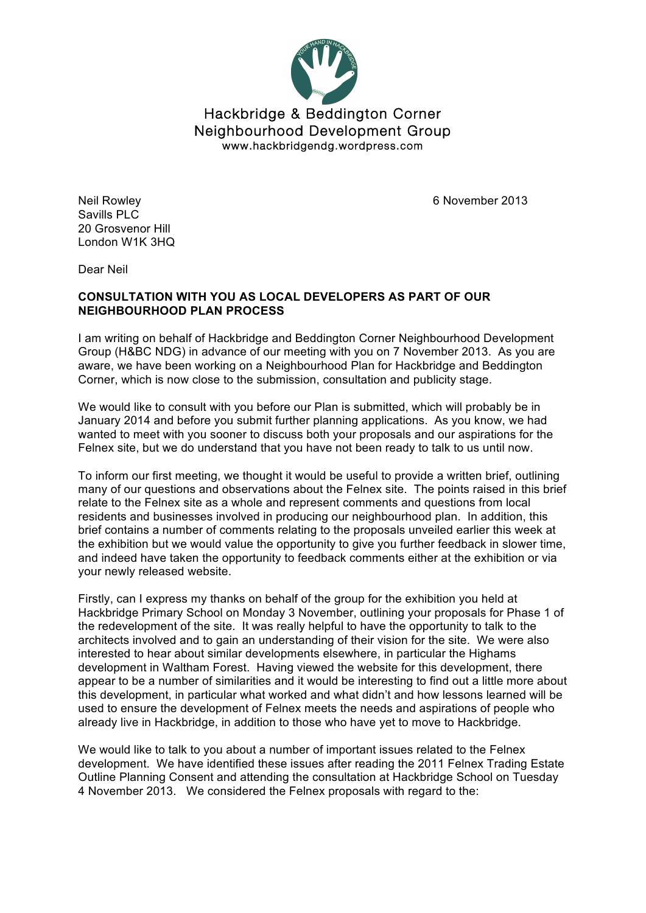

Neil Rowley **6 November 2013** 

Savills PLC 20 Grosvenor Hill London W1K 3HQ

Dear Neil

## **CONSULTATION WITH YOU AS LOCAL DEVELOPERS AS PART OF OUR NEIGHBOURHOOD PLAN PROCESS**

I am writing on behalf of Hackbridge and Beddington Corner Neighbourhood Development Group (H&BC NDG) in advance of our meeting with you on 7 November 2013. As you are aware, we have been working on a Neighbourhood Plan for Hackbridge and Beddington Corner, which is now close to the submission, consultation and publicity stage.

We would like to consult with you before our Plan is submitted, which will probably be in January 2014 and before you submit further planning applications. As you know, we had wanted to meet with you sooner to discuss both your proposals and our aspirations for the Felnex site, but we do understand that you have not been ready to talk to us until now.

To inform our first meeting, we thought it would be useful to provide a written brief, outlining many of our questions and observations about the Felnex site. The points raised in this brief relate to the Felnex site as a whole and represent comments and questions from local residents and businesses involved in producing our neighbourhood plan. In addition, this brief contains a number of comments relating to the proposals unveiled earlier this week at the exhibition but we would value the opportunity to give you further feedback in slower time, and indeed have taken the opportunity to feedback comments either at the exhibition or via your newly released website.

Firstly, can I express my thanks on behalf of the group for the exhibition you held at Hackbridge Primary School on Monday 3 November, outlining your proposals for Phase 1 of the redevelopment of the site. It was really helpful to have the opportunity to talk to the architects involved and to gain an understanding of their vision for the site. We were also interested to hear about similar developments elsewhere, in particular the Highams development in Waltham Forest. Having viewed the website for this development, there appear to be a number of similarities and it would be interesting to find out a little more about this development, in particular what worked and what didn't and how lessons learned will be used to ensure the development of Felnex meets the needs and aspirations of people who already live in Hackbridge, in addition to those who have yet to move to Hackbridge.

We would like to talk to you about a number of important issues related to the Felnex development. We have identified these issues after reading the 2011 Felnex Trading Estate Outline Planning Consent and attending the consultation at Hackbridge School on Tuesday 4 November 2013. We considered the Felnex proposals with regard to the: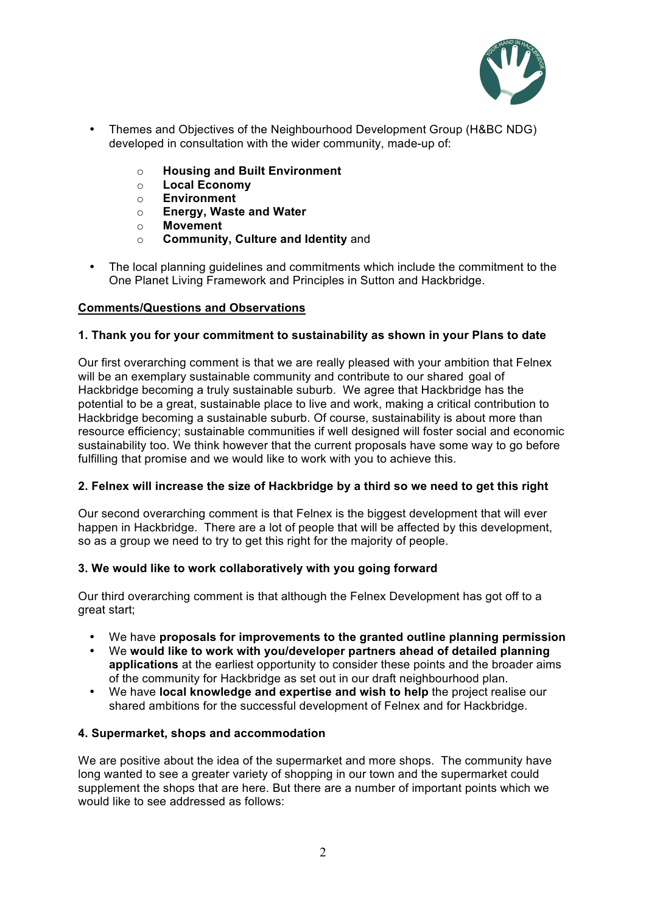

- Themes and Objectives of the Neighbourhood Development Group (H&BC NDG) developed in consultation with the wider community, made-up of:
	- o **Housing and Built Environment**
	- o **Local Economy**
	- o **Environment**
	- o **Energy, Waste and Water**
	- o **Movement**
	- o **Community, Culture and Identity** and
- The local planning guidelines and commitments which include the commitment to the One Planet Living Framework and Principles in Sutton and Hackbridge.

# **Comments/Questions and Observations**

### **1. Thank you for your commitment to sustainability as shown in your Plans to date**

Our first overarching comment is that we are really pleased with your ambition that Felnex will be an exemplary sustainable community and contribute to our shared goal of Hackbridge becoming a truly sustainable suburb. We agree that Hackbridge has the potential to be a great, sustainable place to live and work, making a critical contribution to Hackbridge becoming a sustainable suburb. Of course, sustainability is about more than resource efficiency; sustainable communities if well designed will foster social and economic sustainability too. We think however that the current proposals have some way to go before fulfilling that promise and we would like to work with you to achieve this.

### **2. Felnex will increase the size of Hackbridge by a third so we need to get this right**

Our second overarching comment is that Felnex is the biggest development that will ever happen in Hackbridge. There are a lot of people that will be affected by this development, so as a group we need to try to get this right for the majority of people.

### **3. We would like to work collaboratively with you going forward**

Our third overarching comment is that although the Felnex Development has got off to a great start;

- We have **proposals for improvements to the granted outline planning permission**
- We **would like to work with you/developer partners ahead of detailed planning applications** at the earliest opportunity to consider these points and the broader aims of the community for Hackbridge as set out in our draft neighbourhood plan.
- We have **local knowledge and expertise and wish to help** the project realise our shared ambitions for the successful development of Felnex and for Hackbridge.

### **4. Supermarket, shops and accommodation**

We are positive about the idea of the supermarket and more shops. The community have long wanted to see a greater variety of shopping in our town and the supermarket could supplement the shops that are here. But there are a number of important points which we would like to see addressed as follows: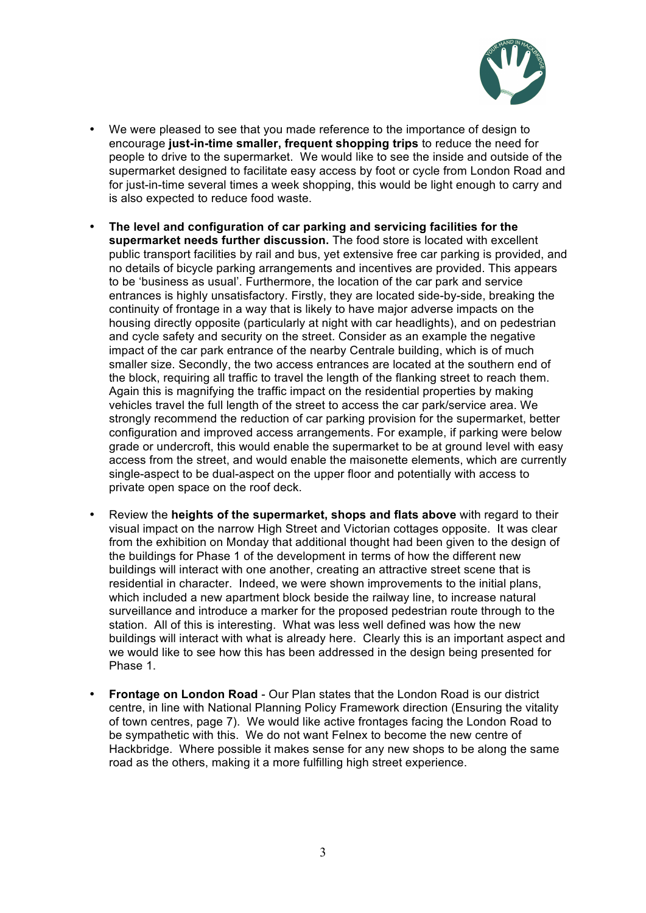

- We were pleased to see that you made reference to the importance of design to encourage **just-in-time smaller, frequent shopping trips** to reduce the need for people to drive to the supermarket. We would like to see the inside and outside of the supermarket designed to facilitate easy access by foot or cycle from London Road and for just-in-time several times a week shopping, this would be light enough to carry and is also expected to reduce food waste.
- **The level and configuration of car parking and servicing facilities for the supermarket needs further discussion.** The food store is located with excellent public transport facilities by rail and bus, yet extensive free car parking is provided, and no details of bicycle parking arrangements and incentives are provided. This appears to be 'business as usual'. Furthermore, the location of the car park and service entrances is highly unsatisfactory. Firstly, they are located side-by-side, breaking the continuity of frontage in a way that is likely to have major adverse impacts on the housing directly opposite (particularly at night with car headlights), and on pedestrian and cycle safety and security on the street. Consider as an example the negative impact of the car park entrance of the nearby Centrale building, which is of much smaller size. Secondly, the two access entrances are located at the southern end of the block, requiring all traffic to travel the length of the flanking street to reach them. Again this is magnifying the traffic impact on the residential properties by making vehicles travel the full length of the street to access the car park/service area. We strongly recommend the reduction of car parking provision for the supermarket, better configuration and improved access arrangements. For example, if parking were below grade or undercroft, this would enable the supermarket to be at ground level with easy access from the street, and would enable the maisonette elements, which are currently single-aspect to be dual-aspect on the upper floor and potentially with access to private open space on the roof deck.
- Review the **heights of the supermarket, shops and flats above** with regard to their visual impact on the narrow High Street and Victorian cottages opposite. It was clear from the exhibition on Monday that additional thought had been given to the design of the buildings for Phase 1 of the development in terms of how the different new buildings will interact with one another, creating an attractive street scene that is residential in character. Indeed, we were shown improvements to the initial plans, which included a new apartment block beside the railway line, to increase natural surveillance and introduce a marker for the proposed pedestrian route through to the station. All of this is interesting. What was less well defined was how the new buildings will interact with what is already here. Clearly this is an important aspect and we would like to see how this has been addressed in the design being presented for Phase 1.
- **Frontage on London Road** Our Plan states that the London Road is our district centre, in line with National Planning Policy Framework direction (Ensuring the vitality of town centres, page 7). We would like active frontages facing the London Road to be sympathetic with this. We do not want Felnex to become the new centre of Hackbridge. Where possible it makes sense for any new shops to be along the same road as the others, making it a more fulfilling high street experience.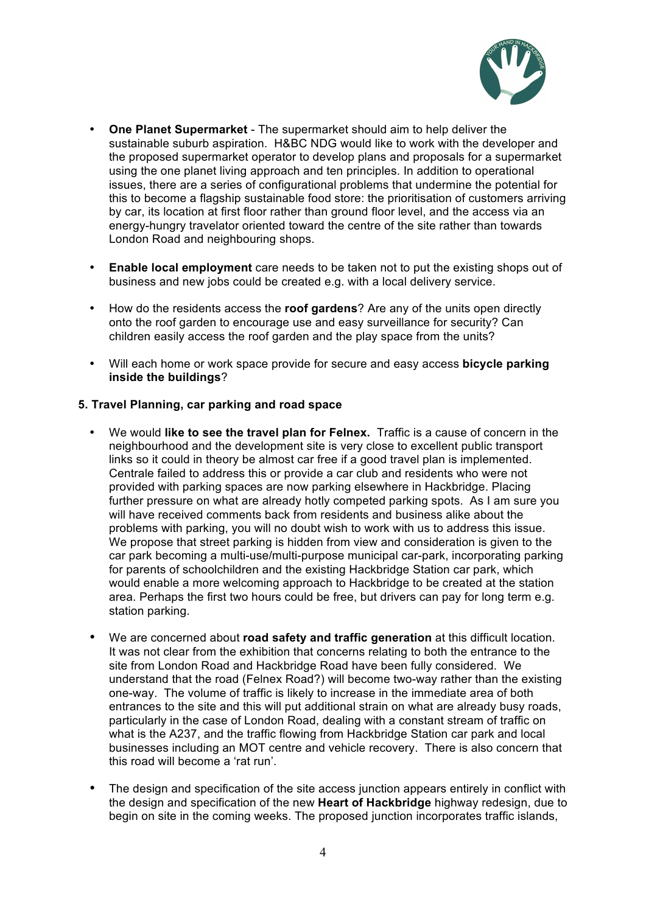

- **One Planet Supermarket** The supermarket should aim to help deliver the sustainable suburb aspiration. H&BC NDG would like to work with the developer and the proposed supermarket operator to develop plans and proposals for a supermarket using the one planet living approach and ten principles. In addition to operational issues, there are a series of configurational problems that undermine the potential for this to become a flagship sustainable food store: the prioritisation of customers arriving by car, its location at first floor rather than ground floor level, and the access via an energy-hungry travelator oriented toward the centre of the site rather than towards London Road and neighbouring shops.
- **Enable local employment** care needs to be taken not to put the existing shops out of business and new jobs could be created e.g. with a local delivery service.
- How do the residents access the **roof gardens**? Are any of the units open directly onto the roof garden to encourage use and easy surveillance for security? Can children easily access the roof garden and the play space from the units?
- Will each home or work space provide for secure and easy access **bicycle parking inside the buildings**?

### **5. Travel Planning, car parking and road space**

- We would **like to see the travel plan for Felnex.** Traffic is a cause of concern in the neighbourhood and the development site is very close to excellent public transport links so it could in theory be almost car free if a good travel plan is implemented. Centrale failed to address this or provide a car club and residents who were not provided with parking spaces are now parking elsewhere in Hackbridge. Placing further pressure on what are already hotly competed parking spots. As I am sure you will have received comments back from residents and business alike about the problems with parking, you will no doubt wish to work with us to address this issue. We propose that street parking is hidden from view and consideration is given to the car park becoming a multi-use/multi-purpose municipal car-park, incorporating parking for parents of schoolchildren and the existing Hackbridge Station car park, which would enable a more welcoming approach to Hackbridge to be created at the station area. Perhaps the first two hours could be free, but drivers can pay for long term e.g. station parking.
- We are concerned about **road safety and traffic generation** at this difficult location. It was not clear from the exhibition that concerns relating to both the entrance to the site from London Road and Hackbridge Road have been fully considered. We understand that the road (Felnex Road?) will become two-way rather than the existing one-way. The volume of traffic is likely to increase in the immediate area of both entrances to the site and this will put additional strain on what are already busy roads, particularly in the case of London Road, dealing with a constant stream of traffic on what is the A237, and the traffic flowing from Hackbridge Station car park and local businesses including an MOT centre and vehicle recovery. There is also concern that this road will become a 'rat run'.
- The design and specification of the site access junction appears entirely in conflict with the design and specification of the new **Heart of Hackbridge** highway redesign, due to begin on site in the coming weeks. The proposed junction incorporates traffic islands,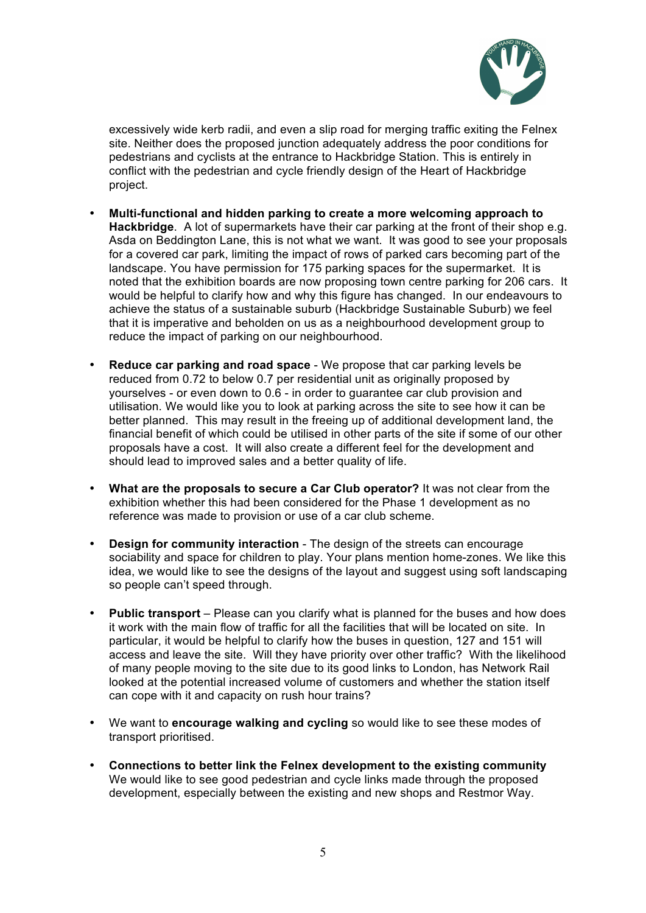

excessively wide kerb radii, and even a slip road for merging traffic exiting the Felnex site. Neither does the proposed junction adequately address the poor conditions for pedestrians and cyclists at the entrance to Hackbridge Station. This is entirely in conflict with the pedestrian and cycle friendly design of the Heart of Hackbridge project.

- **Multi-functional and hidden parking to create a more welcoming approach to Hackbridge**. A lot of supermarkets have their car parking at the front of their shop e.g. Asda on Beddington Lane, this is not what we want. It was good to see your proposals for a covered car park, limiting the impact of rows of parked cars becoming part of the landscape. You have permission for 175 parking spaces for the supermarket. It is noted that the exhibition boards are now proposing town centre parking for 206 cars. It would be helpful to clarify how and why this figure has changed. In our endeavours to achieve the status of a sustainable suburb (Hackbridge Sustainable Suburb) we feel that it is imperative and beholden on us as a neighbourhood development group to reduce the impact of parking on our neighbourhood.
- **Reduce car parking and road space** We propose that car parking levels be reduced from 0.72 to below 0.7 per residential unit as originally proposed by yourselves - or even down to 0.6 - in order to guarantee car club provision and utilisation. We would like you to look at parking across the site to see how it can be better planned. This may result in the freeing up of additional development land, the financial benefit of which could be utilised in other parts of the site if some of our other proposals have a cost. It will also create a different feel for the development and should lead to improved sales and a better quality of life.
- **What are the proposals to secure a Car Club operator?** It was not clear from the exhibition whether this had been considered for the Phase 1 development as no reference was made to provision or use of a car club scheme.
- **Design for community interaction** The design of the streets can encourage sociability and space for children to play. Your plans mention home-zones. We like this idea, we would like to see the designs of the layout and suggest using soft landscaping so people can't speed through.
- **Public transport** Please can you clarify what is planned for the buses and how does it work with the main flow of traffic for all the facilities that will be located on site. In particular, it would be helpful to clarify how the buses in question, 127 and 151 will access and leave the site. Will they have priority over other traffic? With the likelihood of many people moving to the site due to its good links to London, has Network Rail looked at the potential increased volume of customers and whether the station itself can cope with it and capacity on rush hour trains?
- We want to **encourage walking and cycling** so would like to see these modes of transport prioritised.
- **Connections to better link the Felnex development to the existing community** We would like to see good pedestrian and cycle links made through the proposed development, especially between the existing and new shops and Restmor Way.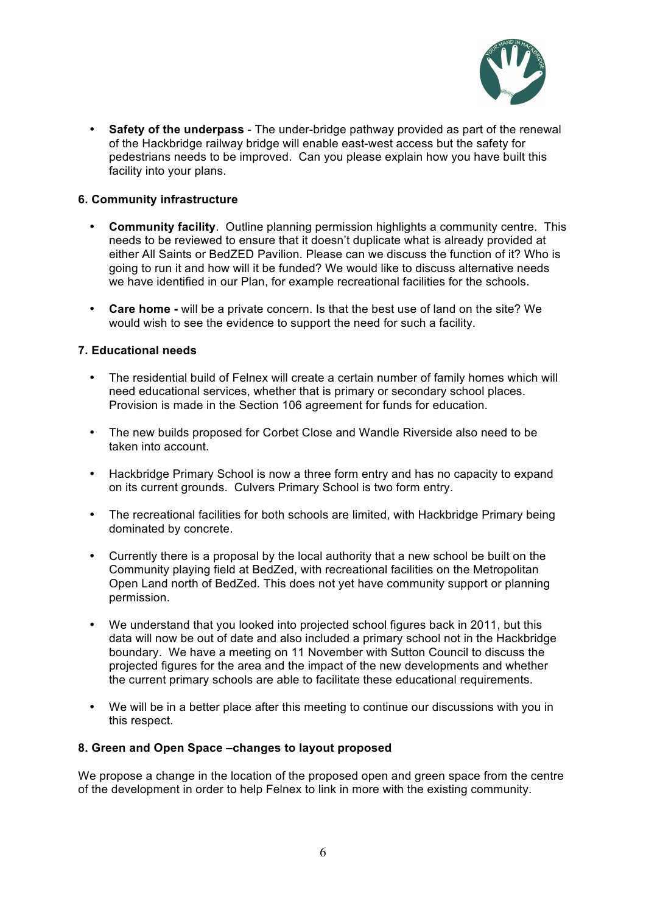

• **Safety of the underpass** - The under-bridge pathway provided as part of the renewal of the Hackbridge railway bridge will enable east-west access but the safety for pedestrians needs to be improved. Can you please explain how you have built this facility into your plans.

### **6. Community infrastructure**

- **Community facility**. Outline planning permission highlights a community centre. This needs to be reviewed to ensure that it doesn't duplicate what is already provided at either All Saints or BedZED Pavilion. Please can we discuss the function of it? Who is going to run it and how will it be funded? We would like to discuss alternative needs we have identified in our Plan, for example recreational facilities for the schools.
- **Care home -** will be a private concern. Is that the best use of land on the site? We would wish to see the evidence to support the need for such a facility.

### **7. Educational needs**

- The residential build of Felnex will create a certain number of family homes which will need educational services, whether that is primary or secondary school places. Provision is made in the Section 106 agreement for funds for education.
- The new builds proposed for Corbet Close and Wandle Riverside also need to be taken into account.
- Hackbridge Primary School is now a three form entry and has no capacity to expand on its current grounds. Culvers Primary School is two form entry.
- The recreational facilities for both schools are limited, with Hackbridge Primary being dominated by concrete.
- Currently there is a proposal by the local authority that a new school be built on the Community playing field at BedZed, with recreational facilities on the Metropolitan Open Land north of BedZed. This does not yet have community support or planning permission.
- We understand that you looked into projected school figures back in 2011, but this data will now be out of date and also included a primary school not in the Hackbridge boundary. We have a meeting on 11 November with Sutton Council to discuss the projected figures for the area and the impact of the new developments and whether the current primary schools are able to facilitate these educational requirements.
- We will be in a better place after this meeting to continue our discussions with you in this respect.

### **8. Green and Open Space –changes to layout proposed**

We propose a change in the location of the proposed open and green space from the centre of the development in order to help Felnex to link in more with the existing community.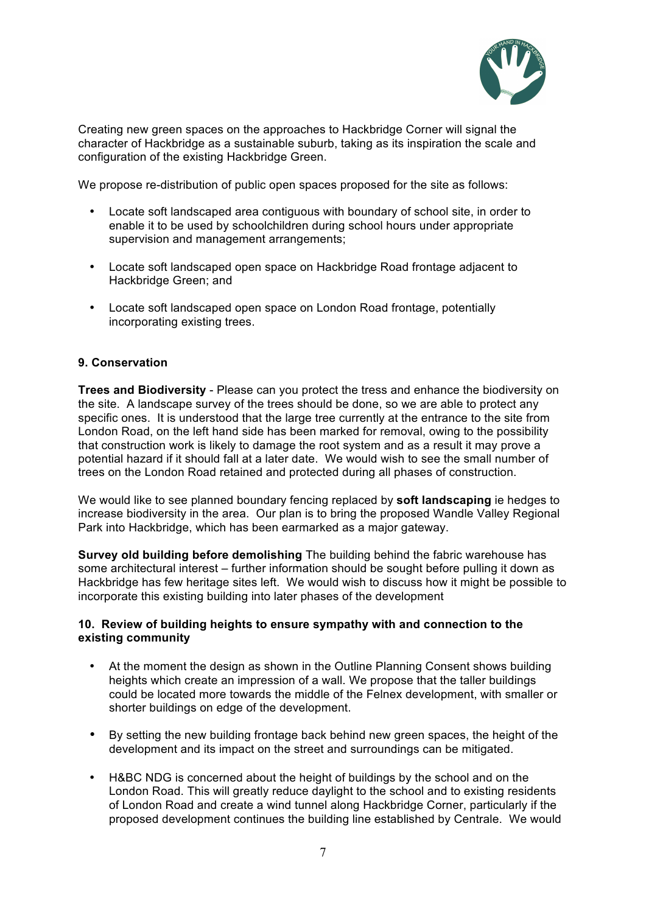

Creating new green spaces on the approaches to Hackbridge Corner will signal the character of Hackbridge as a sustainable suburb, taking as its inspiration the scale and configuration of the existing Hackbridge Green.

We propose re-distribution of public open spaces proposed for the site as follows:

- Locate soft landscaped area contiguous with boundary of school site, in order to enable it to be used by schoolchildren during school hours under appropriate supervision and management arrangements;
- Locate soft landscaped open space on Hackbridge Road frontage adjacent to Hackbridge Green; and
- Locate soft landscaped open space on London Road frontage, potentially incorporating existing trees.

#### **9. Conservation**

**Trees and Biodiversity** - Please can you protect the tress and enhance the biodiversity on the site. A landscape survey of the trees should be done, so we are able to protect any specific ones. It is understood that the large tree currently at the entrance to the site from London Road, on the left hand side has been marked for removal, owing to the possibility that construction work is likely to damage the root system and as a result it may prove a potential hazard if it should fall at a later date. We would wish to see the small number of trees on the London Road retained and protected during all phases of construction.

We would like to see planned boundary fencing replaced by **soft landscaping** ie hedges to increase biodiversity in the area. Our plan is to bring the proposed Wandle Valley Regional Park into Hackbridge, which has been earmarked as a major gateway.

**Survey old building before demolishing** The building behind the fabric warehouse has some architectural interest – further information should be sought before pulling it down as Hackbridge has few heritage sites left. We would wish to discuss how it might be possible to incorporate this existing building into later phases of the development

#### **10. Review of building heights to ensure sympathy with and connection to the existing community**

- At the moment the design as shown in the Outline Planning Consent shows building heights which create an impression of a wall. We propose that the taller buildings could be located more towards the middle of the Felnex development, with smaller or shorter buildings on edge of the development.
- By setting the new building frontage back behind new green spaces, the height of the development and its impact on the street and surroundings can be mitigated.
- H&BC NDG is concerned about the height of buildings by the school and on the London Road. This will greatly reduce daylight to the school and to existing residents of London Road and create a wind tunnel along Hackbridge Corner, particularly if the proposed development continues the building line established by Centrale. We would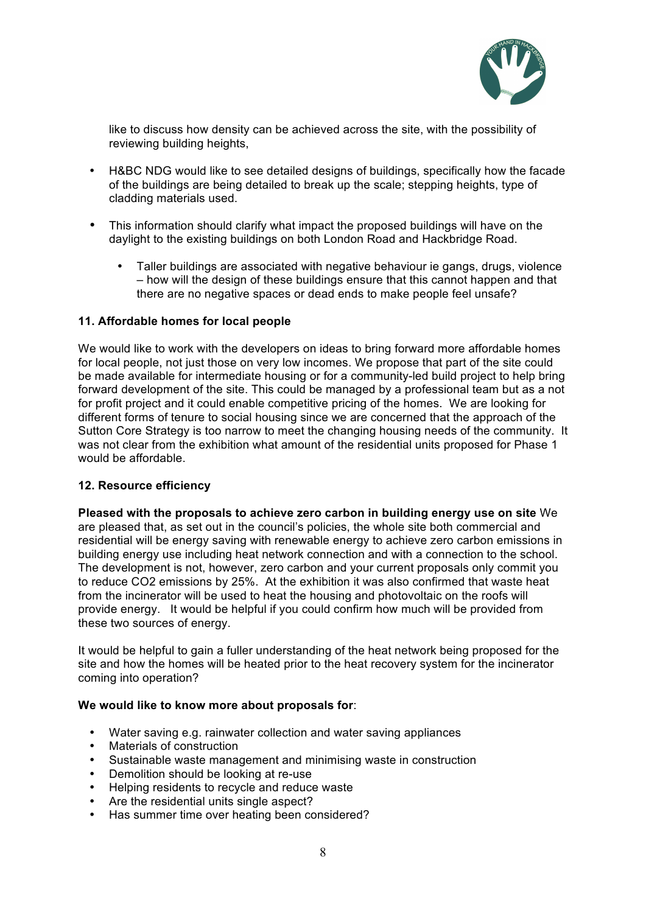

like to discuss how density can be achieved across the site, with the possibility of reviewing building heights,

- H&BC NDG would like to see detailed designs of buildings, specifically how the facade of the buildings are being detailed to break up the scale; stepping heights, type of cladding materials used.
- This information should clarify what impact the proposed buildings will have on the daylight to the existing buildings on both London Road and Hackbridge Road.
	- Taller buildings are associated with negative behaviour ie gangs, drugs, violence – how will the design of these buildings ensure that this cannot happen and that there are no negative spaces or dead ends to make people feel unsafe?

# **11. Affordable homes for local people**

We would like to work with the developers on ideas to bring forward more affordable homes for local people, not just those on very low incomes. We propose that part of the site could be made available for intermediate housing or for a community-led build project to help bring forward development of the site. This could be managed by a professional team but as a not for profit project and it could enable competitive pricing of the homes. We are looking for different forms of tenure to social housing since we are concerned that the approach of the Sutton Core Strategy is too narrow to meet the changing housing needs of the community. It was not clear from the exhibition what amount of the residential units proposed for Phase 1 would be affordable.

### **12. Resource efficiency**

**Pleased with the proposals to achieve zero carbon in building energy use on site** We are pleased that, as set out in the council's policies, the whole site both commercial and residential will be energy saving with renewable energy to achieve zero carbon emissions in building energy use including heat network connection and with a connection to the school. The development is not, however, zero carbon and your current proposals only commit you to reduce CO2 emissions by 25%. At the exhibition it was also confirmed that waste heat from the incinerator will be used to heat the housing and photovoltaic on the roofs will provide energy. It would be helpful if you could confirm how much will be provided from these two sources of energy.

It would be helpful to gain a fuller understanding of the heat network being proposed for the site and how the homes will be heated prior to the heat recovery system for the incinerator coming into operation?

### **We would like to know more about proposals for**:

- Water saving e.g. rainwater collection and water saving appliances
- Materials of construction
- Sustainable waste management and minimising waste in construction
- Demolition should be looking at re-use
- Helping residents to recycle and reduce waste
- Are the residential units single aspect?
- Has summer time over heating been considered?